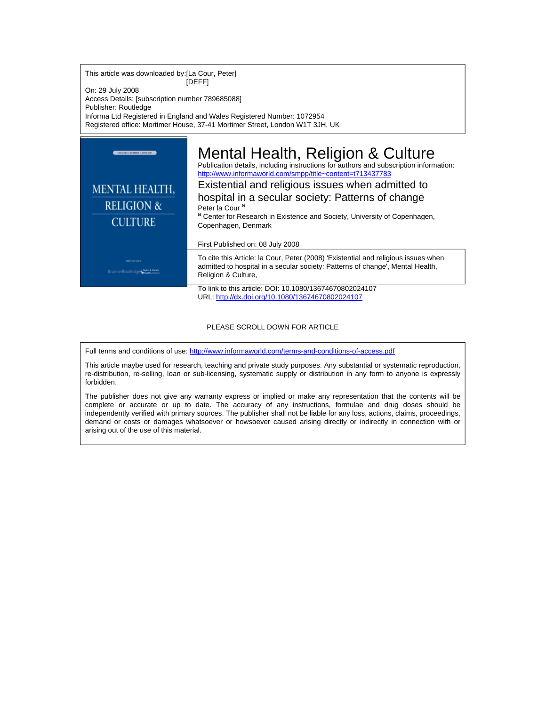This article was downloaded by:[La Cour, Peter] [DEFF]

On: 29 July 2008 Access Details: [subscription number 789685088] Publisher: Routledge Informa Ltd Registered in England and Wales Registered Number: 1072954 Registered office: Mortimer House, 37-41 Mortimer Street, London W1T 3JH, UK



# Mental Health, Religion & Culture

Publication details, including instructions for authors and subscription information: <http://www.informaworld.com/smpp/title~content=t713437783>

Existential and religious issues when admitted to hospital in a secular society: Patterns of change Peter la Cour<sup>a</sup> a Center for Research in Existence and Society, University of Copenhagen, Copenhagen, Denmark

#### First Published on: 08 July 2008

To cite this Article: la Cour, Peter (2008) 'Existential and religious issues when admitted to hospital in a secular society: Patterns of change', Mental Health, Religion & Culture,

To link to this article: DOI: 10.1080/13674670802024107 URL: <http://dx.doi.org/10.1080/13674670802024107>

# PLEASE SCROLL DOWN FOR ARTICLE

Full terms and conditions of use: <http://www.informaworld.com/terms-and-conditions-of-access.pdf>

This article maybe used for research, teaching and private study purposes. Any substantial or systematic reproduction, re-distribution, re-selling, loan or sub-licensing, systematic supply or distribution in any form to anyone is expressly forbidden.

The publisher does not give any warranty express or implied or make any representation that the contents will be complete or accurate or up to date. The accuracy of any instructions, formulae and drug doses should be independently verified with primary sources. The publisher shall not be liable for any loss, actions, claims, proceedings, demand or costs or damages whatsoever or howsoever caused arising directly or indirectly in connection with or arising out of the use of this material.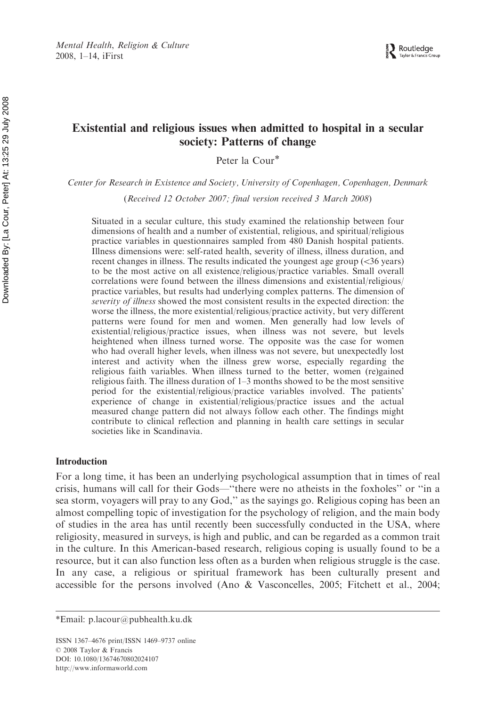# Existential and religious issues when admitted to hospital in a secular society: Patterns of change

Peter la Cour\*

Center for Research in Existence and Society, University of Copenhagen, Copenhagen, Denmark

(Received 12 October 2007; final version received 3 March 2008)

Situated in a secular culture, this study examined the relationship between four dimensions of health and a number of existential, religious, and spiritual/religious practice variables in questionnaires sampled from 480 Danish hospital patients. Illness dimensions were: self-rated health, severity of illness, illness duration, and recent changes in illness. The results indicated the youngest age group (<36 years) to be the most active on all existence/religious/practice variables. Small overall correlations were found between the illness dimensions and existential/religious/ practice variables, but results had underlying complex patterns. The dimension of severity of illness showed the most consistent results in the expected direction: the worse the illness, the more existential/religious/practice activity, but very different patterns were found for men and women. Men generally had low levels of existential/religious/practice issues, when illness was not severe, but levels heightened when illness turned worse. The opposite was the case for women who had overall higher levels, when illness was not severe, but unexpectedly lost interest and activity when the illness grew worse, especially regarding the religious faith variables. When illness turned to the better, women (re)gained religious faith. The illness duration of 1–3 months showed to be the most sensitive period for the existential/religious/practice variables involved. The patients' experience of change in existential/religious/practice issues and the actual measured change pattern did not always follow each other. The findings might contribute to clinical reflection and planning in health care settings in secular societies like in Scandinavia.

# Introduction

For a long time, it has been an underlying psychological assumption that in times of real crisis, humans will call for their Gods—''there were no atheists in the foxholes'' or ''in a sea storm, voyagers will pray to any God,'' as the sayings go. Religious coping has been an almost compelling topic of investigation for the psychology of religion, and the main body of studies in the area has until recently been successfully conducted in the USA, where religiosity, measured in surveys, is high and public, and can be regarded as a common trait in the culture. In this American-based research, religious coping is usually found to be a resource, but it can also function less often as a burden when religious struggle is the case. In any case, a religious or spiritual framework has been culturally present and accessible for the persons involved (Ano & Vasconcelles, 2005; Fitchett et al., 2004;

ISSN 1367–4676 print/ISSN 1469–9737 online 2008 Taylor & Francis DOI: 10.1080/13674670802024107 http://www.informaworld.com

<sup>\*</sup>Email: p.lacour@pubhealth.ku.dk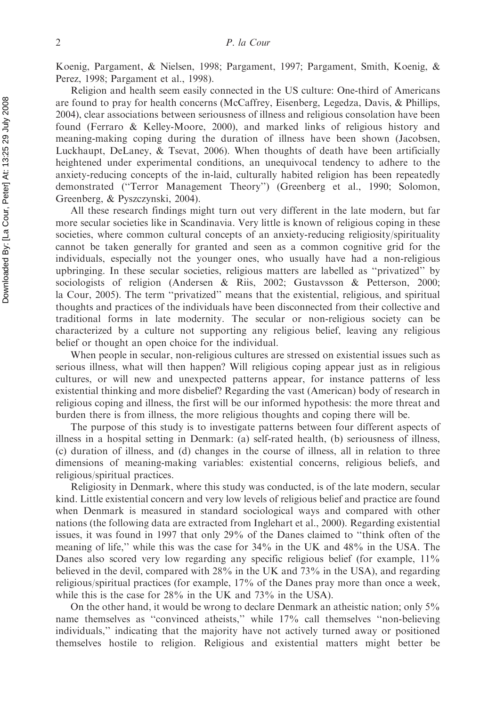Koenig, Pargament, & Nielsen, 1998; Pargament, 1997; Pargament, Smith, Koenig, & Perez, 1998; Pargament et al., 1998).

Religion and health seem easily connected in the US culture: One-third of Americans are found to pray for health concerns (McCaffrey, Eisenberg, Legedza, Davis, & Phillips, 2004), clear associations between seriousness of illness and religious consolation have been found (Ferraro & Kelley-Moore, 2000), and marked links of religious history and meaning-making coping during the duration of illness have been shown (Jacobsen, Luckhaupt, DeLaney, & Tsevat, 2006). When thoughts of death have been artificially heightened under experimental conditions, an unequivocal tendency to adhere to the anxiety-reducing concepts of the in-laid, culturally habited religion has been repeatedly demonstrated (''Terror Management Theory'') (Greenberg et al., 1990; Solomon, Greenberg, & Pyszczynski, 2004).

All these research findings might turn out very different in the late modern, but far more secular societies like in Scandinavia. Very little is known of religious coping in these societies, where common cultural concepts of an anxiety-reducing religiosity/spirituality cannot be taken generally for granted and seen as a common cognitive grid for the individuals, especially not the younger ones, who usually have had a non-religious upbringing. In these secular societies, religious matters are labelled as ''privatized'' by sociologists of religion (Andersen & Riis, 2002; Gustavsson & Petterson, 2000; la Cour, 2005). The term ''privatized'' means that the existential, religious, and spiritual thoughts and practices of the individuals have been disconnected from their collective and traditional forms in late modernity. The secular or non-religious society can be characterized by a culture not supporting any religious belief, leaving any religious belief or thought an open choice for the individual.

When people in secular, non-religious cultures are stressed on existential issues such as serious illness, what will then happen? Will religious coping appear just as in religious cultures, or will new and unexpected patterns appear, for instance patterns of less existential thinking and more disbelief? Regarding the vast (American) body of research in religious coping and illness, the first will be our informed hypothesis: the more threat and burden there is from illness, the more religious thoughts and coping there will be.

The purpose of this study is to investigate patterns between four different aspects of illness in a hospital setting in Denmark: (a) self-rated health, (b) seriousness of illness, (c) duration of illness, and (d) changes in the course of illness, all in relation to three dimensions of meaning-making variables: existential concerns, religious beliefs, and religious/spiritual practices.

Religiosity in Denmark, where this study was conducted, is of the late modern, secular kind. Little existential concern and very low levels of religious belief and practice are found when Denmark is measured in standard sociological ways and compared with other nations (the following data are extracted from Inglehart et al., 2000). Regarding existential issues, it was found in 1997 that only 29% of the Danes claimed to ''think often of the meaning of life,'' while this was the case for 34% in the UK and 48% in the USA. The Danes also scored very low regarding any specific religious belief (for example, 11%) believed in the devil, compared with 28% in the UK and 73% in the USA), and regarding religious/spiritual practices (for example, 17% of the Danes pray more than once a week, while this is the case for 28% in the UK and 73% in the USA).

On the other hand, it would be wrong to declare Denmark an atheistic nation; only 5% name themselves as ''convinced atheists,'' while 17% call themselves ''non-believing individuals,'' indicating that the majority have not actively turned away or positioned themselves hostile to religion. Religious and existential matters might better be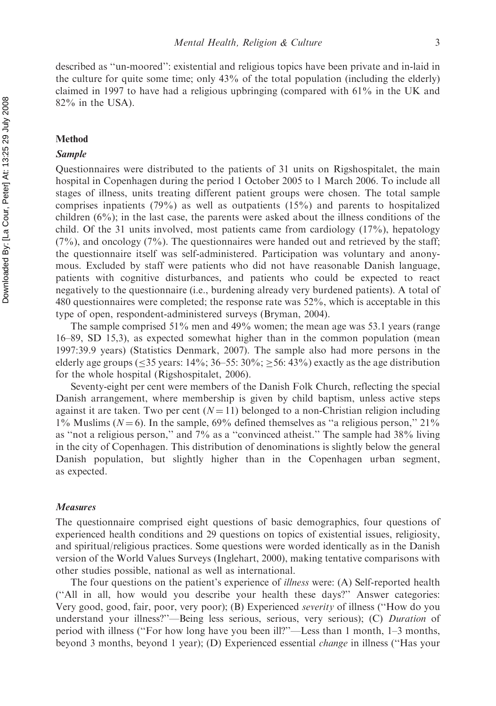described as ''un-moored'': existential and religious topics have been private and in-laid in the culture for quite some time; only 43% of the total population (including the elderly) claimed in 1997 to have had a religious upbringing (compared with 61% in the UK and 82% in the USA).

# Method

# Sample

Questionnaires were distributed to the patients of 31 units on Rigshospitalet, the main hospital in Copenhagen during the period 1 October 2005 to 1 March 2006. To include all stages of illness, units treating different patient groups were chosen. The total sample comprises inpatients (79%) as well as outpatients (15%) and parents to hospitalized children  $(6\%)$ ; in the last case, the parents were asked about the illness conditions of the child. Of the 31 units involved, most patients came from cardiology (17%), hepatology  $(7\%)$ , and oncology  $(7\%)$ . The questionnaires were handed out and retrieved by the staff; the questionnaire itself was self-administered. Participation was voluntary and anonymous. Excluded by staff were patients who did not have reasonable Danish language, patients with cognitive disturbances, and patients who could be expected to react negatively to the questionnaire (i.e., burdening already very burdened patients). A total of 480 questionnaires were completed; the response rate was 52%, which is acceptable in this type of open, respondent-administered surveys (Bryman, 2004).

The sample comprised 51% men and 49% women; the mean age was 53.1 years (range 16–89, SD 15,3), as expected somewhat higher than in the common population (mean 1997:39.9 years) (Statistics Denmark, 2007). The sample also had more persons in the elderly age groups ( $\leq$ 35 years: 14%; 36–55: 30%;  $\geq$ 56: 43%) exactly as the age distribution for the whole hospital (Rigshospitalet, 2006).

Seventy-eight per cent were members of the Danish Folk Church, reflecting the special Danish arrangement, where membership is given by child baptism, unless active steps against it are taken. Two per cent  $(N = 11)$  belonged to a non-Christian religion including 1% Muslims ( $N = 6$ ). In the sample, 69% defined themselves as "a religious person," 21% as ''not a religious person,'' and 7% as a ''convinced atheist.'' The sample had 38% living in the city of Copenhagen. This distribution of denominations is slightly below the general Danish population, but slightly higher than in the Copenhagen urban segment, as expected.

#### Measures

The questionnaire comprised eight questions of basic demographics, four questions of experienced health conditions and 29 questions on topics of existential issues, religiosity, and spiritual/religious practices. Some questions were worded identically as in the Danish version of the World Values Surveys (Inglehart, 2000), making tentative comparisons with other studies possible, national as well as international.

The four questions on the patient's experience of *illness* were: (A) Self-reported health (''All in all, how would you describe your health these days?'' Answer categories: Very good, good, fair, poor, very poor); (B) Experienced severity of illness (''How do you understand your illness?"—Being less serious, serious, very serious); (C) Duration of period with illness (''For how long have you been ill?''—Less than 1 month, 1–3 months, beyond 3 months, beyond 1 year); (D) Experienced essential change in illness (''Has your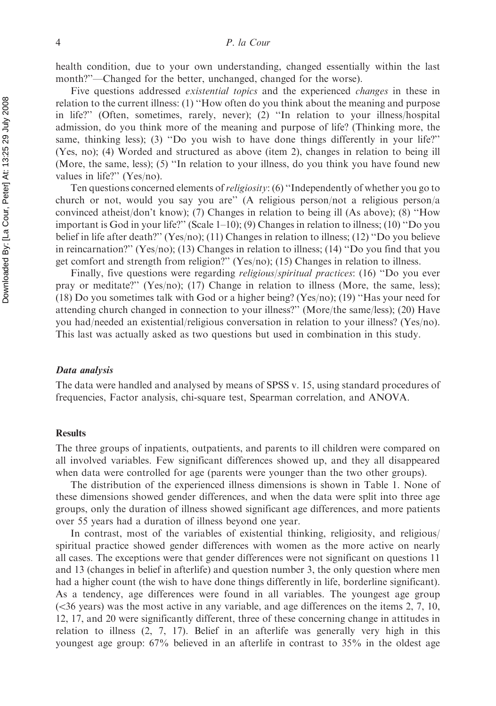### 4 P. la Cour

health condition, due to your own understanding, changed essentially within the last month?''—Changed for the better, unchanged, changed for the worse).

Five questions addressed *existential topics* and the experienced *changes* in these in relation to the current illness: (1) ''How often do you think about the meaning and purpose in life?'' (Often, sometimes, rarely, never); (2) ''In relation to your illness/hospital admission, do you think more of the meaning and purpose of life? (Thinking more, the same, thinking less); (3) ''Do you wish to have done things differently in your life?'' (Yes, no); (4) Worded and structured as above (item 2), changes in relation to being ill (More, the same, less); (5) ''In relation to your illness, do you think you have found new values in life?'' (Yes/no).

Ten questions concerned elements of *religiosity*: (6) "Independently of whether you go to church or not, would you say you are'' (A religious person/not a religious person/a convinced atheist/don't know); (7) Changes in relation to being ill (As above); (8) ''How important is God in your life?'' (Scale 1–10); (9) Changes in relation to illness; (10) ''Do you belief in life after death?'' (Yes/no); (11) Changes in relation to illness; (12) ''Do you believe in reincarnation?'' (Yes/no); (13) Changes in relation to illness; (14) ''Do you find that you get comfort and strength from religion?'' (Yes/no); (15) Changes in relation to illness.

Finally, five questions were regarding *religious/spiritual practices*: (16) "Do you ever pray or meditate?'' (Yes/no); (17) Change in relation to illness (More, the same, less); (18) Do you sometimes talk with God or a higher being? (Yes/no); (19) ''Has your need for attending church changed in connection to your illness?'' (More/the same/less); (20) Have you had/needed an existential/religious conversation in relation to your illness? (Yes/no). This last was actually asked as two questions but used in combination in this study.

#### Data analysis

The data were handled and analysed by means of SPSS v. 15, using standard procedures of frequencies, Factor analysis, chi-square test, Spearman correlation, and ANOVA.

#### Results

The three groups of inpatients, outpatients, and parents to ill children were compared on all involved variables. Few significant differences showed up, and they all disappeared when data were controlled for age (parents were younger than the two other groups).

The distribution of the experienced illness dimensions is shown in Table 1. None of these dimensions showed gender differences, and when the data were split into three age groups, only the duration of illness showed significant age differences, and more patients over 55 years had a duration of illness beyond one year.

In contrast, most of the variables of existential thinking, religiosity, and religious/ spiritual practice showed gender differences with women as the more active on nearly all cases. The exceptions were that gender differences were not significant on questions 11 and 13 (changes in belief in afterlife) and question number 3, the only question where men had a higher count (the wish to have done things differently in life, borderline significant). As a tendency, age differences were found in all variables. The youngest age group  $\approx$  1636 years) was the most active in any variable, and age differences on the items 2, 7, 10, 12, 17, and 20 were significantly different, three of these concerning change in attitudes in relation to illness (2, 7, 17). Belief in an afterlife was generally very high in this youngest age group: 67% believed in an afterlife in contrast to 35% in the oldest age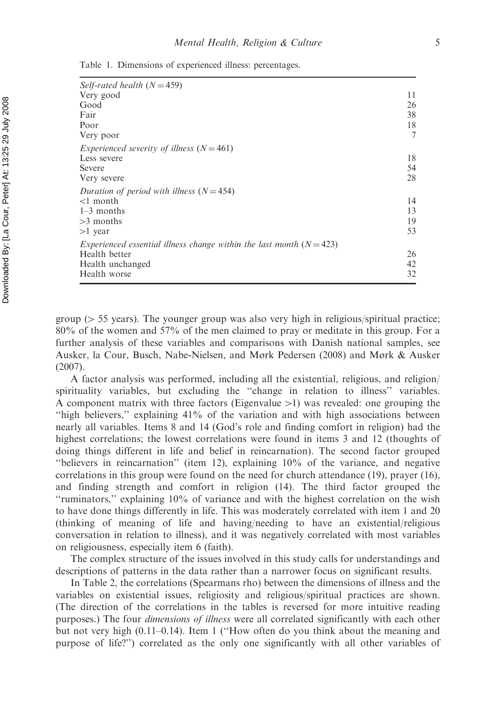Table 1. Dimensions of experienced illness: percentages.

| Self-rated health $(N=459)$                                          |    |
|----------------------------------------------------------------------|----|
| Very good                                                            | 11 |
| Good                                                                 | 26 |
| Fair                                                                 | 38 |
| Poor                                                                 | 18 |
| Very poor                                                            | 7  |
| Experienced severity of illness $(N=461)$                            |    |
| Less severe                                                          | 18 |
| Severe                                                               | 54 |
| Very severe                                                          | 28 |
| Duration of period with illness $(N = 454)$                          |    |
| $<$ 1 month                                                          | 14 |
| $1-3$ months                                                         | 13 |
| $>3$ months                                                          | 19 |
| $>1$ year                                                            | 53 |
| Experienced essential illness change within the last month $(N=423)$ |    |
| Health better                                                        | 26 |
| Health unchanged                                                     | 42 |
| Health worse                                                         | 32 |

group ( $> 55$  years). The younger group was also very high in religious/spiritual practice; 80% of the women and 57% of the men claimed to pray or meditate in this group. For a further analysis of these variables and comparisons with Danish national samples, see Ausker, la Cour, Busch, Nabe-Nielsen, and Mørk Pedersen (2008) and Mørk & Ausker (2007).

A factor analysis was performed, including all the existential, religious, and religion/ spirituality variables, but excluding the ''change in relation to illness'' variables. A component matrix with three factors (Eigenvalue  $>1$ ) was revealed: one grouping the ''high believers,'' explaining 41% of the variation and with high associations between nearly all variables. Items 8 and 14 (God's role and finding comfort in religion) had the highest correlations; the lowest correlations were found in items 3 and 12 (thoughts of doing things different in life and belief in reincarnation). The second factor grouped ''believers in reincarnation'' (item 12), explaining 10% of the variance, and negative correlations in this group were found on the need for church attendance (19), prayer (16), and finding strength and comfort in religion (14). The third factor grouped the ''ruminators,'' explaining 10% of variance and with the highest correlation on the wish to have done things differently in life. This was moderately correlated with item 1 and 20 (thinking of meaning of life and having/needing to have an existential/religious conversation in relation to illness), and it was negatively correlated with most variables on religiousness, especially item 6 (faith).

The complex structure of the issues involved in this study calls for understandings and descriptions of patterns in the data rather than a narrower focus on significant results.

In Table 2, the correlations (Spearmans rho) between the dimensions of illness and the variables on existential issues, religiosity and religious/spiritual practices are shown. (The direction of the correlations in the tables is reversed for more intuitive reading purposes.) The four *dimensions of illness* were all correlated significantly with each other but not very high (0.11–0.14). Item 1 (''How often do you think about the meaning and purpose of life?'') correlated as the only one significantly with all other variables of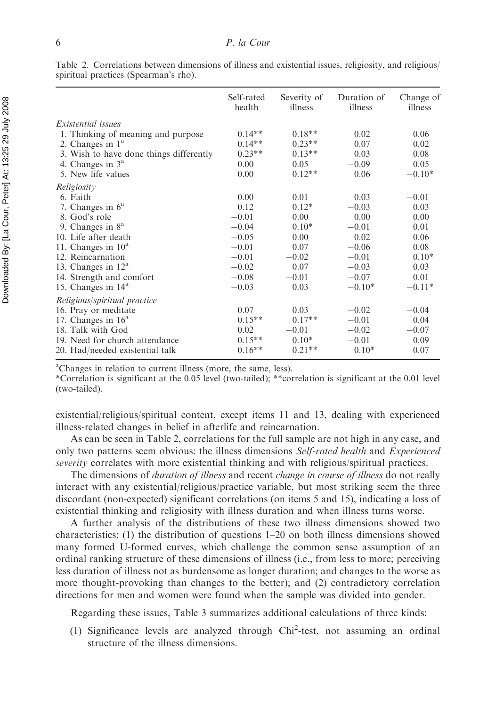|                                         | Self-rated<br>health | Severity of<br>illness | Duration of<br>illness | Change of<br>illness |
|-----------------------------------------|----------------------|------------------------|------------------------|----------------------|
| <i>Existential issues</i>               |                      |                        |                        |                      |
| 1. Thinking of meaning and purpose      | $0.14**$             | $0.18**$               | 0.02                   | 0.06                 |
| 2. Changes in $1^a$                     | $0.14**$             | $0.23**$               | 0.07                   | 0.02                 |
| 3. Wish to have done things differently | $0.23**$             | $0.13**$               | 0.03                   | 0.08                 |
| 4. Changes in $3a$                      | 0.00                 | 0.05                   | $-0.09$                | 0.05                 |
| 5. New life values                      | 0.00                 | $0.12**$               | 0.06                   | $-0.10*$             |
| Religiosity                             |                      |                        |                        |                      |
| 6. Faith                                | 0.00                 | 0.01                   | 0.03                   | $-0.01$              |
| 7. Changes in $6^a$                     | 0.12                 | $0.12*$                | $-0.03$                | 0.03                 |
| 8. God's role                           | $-0.01$              | 0.00                   | 0.00                   | 0.00                 |
| 9. Changes in $8a$                      | $-0.04$              | $0.10*$                | $-0.01$                | 0.01                 |
| 10. Life after death                    | $-0.05$              | 0.00                   | 0.02                   | 0.06                 |
| 11. Changes in $10^a$                   | $-0.01$              | 0.07                   | $-0.06$                | 0.08                 |
| 12. Reincarnation                       | $-0.01$              | $-0.02$                | $-0.01$                | $0.10*$              |
| 13. Changes in $12^a$                   | $-0.02$              | 0.07                   | $-0.03$                | 0.03                 |
| 14. Strength and comfort                | $-0.08$              | $-0.01$                | $-0.07$                | 0.01                 |
| 15. Changes in $14a$                    | $-0.03$              | 0.03                   | $-0.10*$               | $-0.11*$             |
| Religious/spiritual practice            |                      |                        |                        |                      |
| 16. Pray or meditate                    | 0.07                 | 0.03                   | $-0.02$                | $-0.04$              |
| 17. Changes in $16a$                    | $0.15**$             | $0.17**$               | $-0.01$                | 0.04                 |
| 18. Talk with God                       | 0.02                 | $-0.01$                | $-0.02$                | $-0.07$              |
| 19. Need for church attendance          | $0.15**$             | $0.10*$                | $-0.01$                | 0.09                 |
| 20. Had/needed existential talk         | $0.16**$             | $0.21**$               | $0.10*$                | 0.07                 |

Table 2. Correlations between dimensions of illness and existential issues, religiosity, and religious/ spiritual practices (Spearman's rho).

a Changes in relation to current illness (more, the same, less).

\*Correlation is significant at the 0.05 level (two-tailed); \*\*correlation is significant at the 0.01 level (two-tailed).

existential/religious/spiritual content, except items 11 and 13, dealing with experienced illness-related changes in belief in afterlife and reincarnation.

As can be seen in Table 2, correlations for the full sample are not high in any case, and only two patterns seem obvious: the illness dimensions Self-rated health and Experienced severity correlates with more existential thinking and with religious/spiritual practices.

The dimensions of *duration of illness* and recent *change in course of illness* do not really interact with any existential/religious/practice variable, but most striking seem the three discordant (non-expected) significant correlations (on items 5 and 15), indicating a loss of existential thinking and religiosity with illness duration and when illness turns worse.

A further analysis of the distributions of these two illness dimensions showed two characteristics: (1) the distribution of questions 1–20 on both illness dimensions showed many formed U-formed curves, which challenge the common sense assumption of an ordinal ranking structure of these dimensions of illness (i.e., from less to more; perceiving less duration of illness not as burdensome as longer duration; and changes to the worse as more thought-provoking than changes to the better); and (2) contradictory correlation directions for men and women were found when the sample was divided into gender.

Regarding these issues, Table 3 summarizes additional calculations of three kinds:

(1) Significance levels are analyzed through Chi<sup>2</sup>-test, not assuming an ordinal structure of the illness dimensions.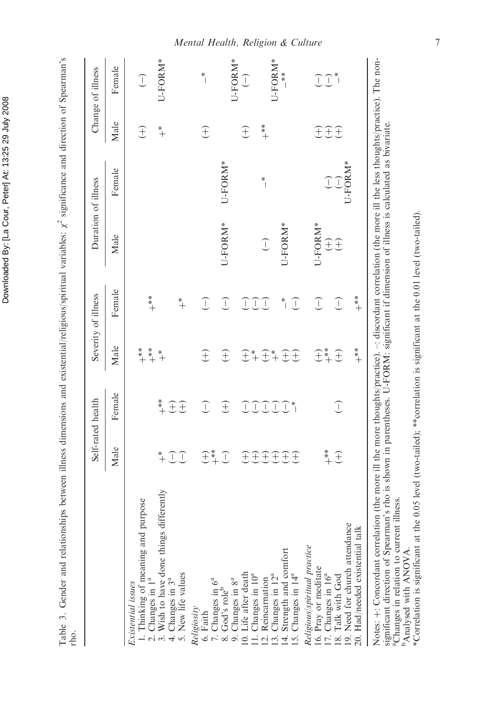| Table 3. Gender and relationships<br>rho.                                                                                                                                               |                                   |                   |                                           |                               | between illness dimensions and existential/religious/spiritual variables: $\chi^2$ significance and direction of Spearman's |                   |                      |                           |
|-----------------------------------------------------------------------------------------------------------------------------------------------------------------------------------------|-----------------------------------|-------------------|-------------------------------------------|-------------------------------|-----------------------------------------------------------------------------------------------------------------------------|-------------------|----------------------|---------------------------|
|                                                                                                                                                                                         |                                   | Self-rated health |                                           | Severity of illness           | Duration of illness                                                                                                         |                   |                      | Change of illness         |
|                                                                                                                                                                                         | Male                              | Female            | Male                                      | Female                        | Male                                                                                                                        | Female            | Male                 | Female                    |
| 1. Thinking of meaning and purpose<br>Existential issues                                                                                                                                |                                   |                   | $\overset{*}{+}$                          | $\stackrel{*}{*}$             |                                                                                                                             |                   | $\widehat{t}$        | $\bigcup$                 |
| 2. Changes in $1^a$<br>3. Wish to have done things differently<br>4. Changes in $3^a$<br>5. New life values                                                                             | $+$                               | $* +$             | $*$<br>$*$<br>$+$                         |                               |                                                                                                                             |                   | $+$                  | U-FORM*                   |
|                                                                                                                                                                                         | Û                                 | <b>EE</b>         |                                           | $+$                           |                                                                                                                             |                   |                      |                           |
| Religiosity                                                                                                                                                                             |                                   | $\bigcirc$        | $\widehat{t}$                             | J                             |                                                                                                                             |                   | $\widehat{t}$        | $\ddot{\mathcal{E}}$      |
| 6. Faith<br>7. Changes in $6^a$<br>8. God's role <sup>b</sup><br>9. Changes in $8^a$<br>10. Life after death                                                                            | $\widehat{+}^*_{\div}\widehat{+}$ | $\widehat{\pm}$   | E                                         | J                             | U-FORM*                                                                                                                     | U-FORM*           |                      |                           |
|                                                                                                                                                                                         |                                   | [1]               |                                           |                               |                                                                                                                             |                   |                      | U-FORM*                   |
|                                                                                                                                                                                         | Ŧ<br>$\widehat{\pm}$              | Œ                 |                                           | $\bigcap$<br>I                |                                                                                                                             |                   | $\widehat{\pm}$      | $\bigcirc$                |
| 11. Changes in $10^a$<br>12. Reincarmation<br>13. Changes in $12^a$<br>14. Strength and comfort<br>15. Changes in $14^a$                                                                | $\widehat{\pm}$<br>Ŧ              | T<br>I            | $\widehat{+}$ $\widehat{+}$ $\widehat{+}$ | $\bigcap$                     | $\bigcup$                                                                                                                   | $\ddot{\tilde{}}$ | $\stackrel{*}{\ast}$ | J-FORM*                   |
|                                                                                                                                                                                         | $\widehat{t}$                     | I                 |                                           | $\ddot{\tilde{z}}$            | U-FORM*                                                                                                                     |                   |                      | $*$                       |
|                                                                                                                                                                                         | $\widehat{t}$                     | *<br>             | $\widehat{\pm\,\pm}$                      | $\bigcirc$                    |                                                                                                                             |                   |                      |                           |
| <i>Religious/spiritual practice</i><br>16. Pray or meditate<br>17. Changes in 16 <sup>a</sup><br>18. Talk with God<br>19. Need for church attendance<br>20. Had/needed existential talk |                                   |                   | $\widehat{\pm}$                           | $\widehat{\bot}$              | U-FORM*                                                                                                                     |                   | Ŧ                    |                           |
|                                                                                                                                                                                         | $* * +$                           |                   | $*$                                       |                               |                                                                                                                             | T                 | $\mathfrak{F}$       | ÎÎ                        |
|                                                                                                                                                                                         | $\widehat{t}$                     | $\bigcirc$        | $\widehat{t}$                             | $\bigcirc$                    | $\widehat{\pm}\widehat{\pm}$                                                                                                |                   | Œ                    | $\ddot{\hspace{0.1cm}}^*$ |
|                                                                                                                                                                                         |                                   |                   |                                           |                               |                                                                                                                             | J-FORM*           |                      |                           |
|                                                                                                                                                                                         |                                   |                   | $\stackrel{*}{\ast}{\dagger}$             | $\stackrel{*}{\ast}{\dagger}$ |                                                                                                                             |                   |                      |                           |

Notes: +: Concordant correlation (the more ill the more thoughts/practice). -: discordant correlation (the more ill the less thoughts/practice). The nonþ: Concordant correlation (the more ill the more thoughts/practice). –: discordant correlation (the more ill the less thoughts/practice). The nonsignificant direction of Spearman's rho is shown in parentheses. U-FORM: significant if dimension of illness is calculated as bivariate. significant direction of Spearman's rho is shown in parentheses. U-FORM: significant if dimension of illness is calculated as bivariate. <sup>a</sup>Changes in relation to current illness. aChanges in relation to current illness.

<sup>b</sup>Analysed with ANOVA. bAnalysed with ANOVA.

\*Correlation is significant at the 0.05 level (two-tailed); \*\*correlation is significant at the 0.01 level (two-tailed). \*Correlation is significant at the 0.05 level (two-tailed); \*\*correlation is significant at the 0.01 level (two-tailed).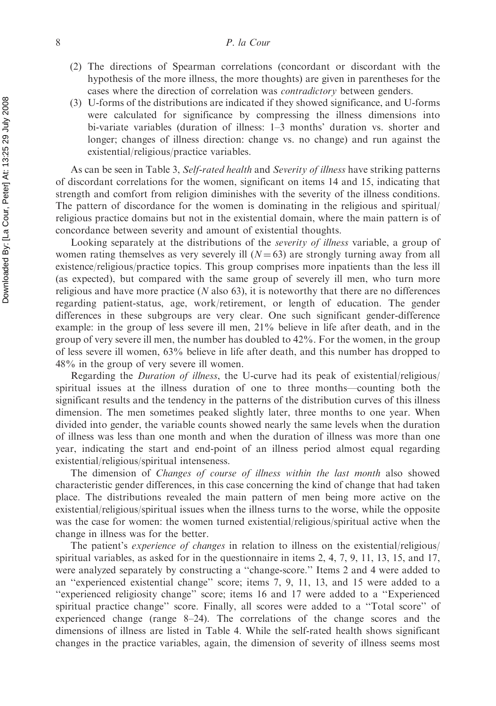### 8 P. la Cour

- (2) The directions of Spearman correlations (concordant or discordant with the hypothesis of the more illness, the more thoughts) are given in parentheses for the cases where the direction of correlation was *contradictory* between genders.
- (3) U-forms of the distributions are indicated if they showed significance, and U-forms were calculated for significance by compressing the illness dimensions into bi-variate variables (duration of illness: 1–3 months' duration vs. shorter and longer; changes of illness direction: change vs. no change) and run against the existential/religious/practice variables.

As can be seen in Table 3, Self-rated health and Severity of illness have striking patterns of discordant correlations for the women, significant on items 14 and 15, indicating that strength and comfort from religion diminishes with the severity of the illness conditions. The pattern of discordance for the women is dominating in the religious and spiritual/ religious practice domains but not in the existential domain, where the main pattern is of concordance between severity and amount of existential thoughts.

Looking separately at the distributions of the *severity of illness* variable, a group of women rating themselves as very severely ill  $(N = 63)$  are strongly turning away from all existence/religious/practice topics. This group comprises more inpatients than the less ill (as expected), but compared with the same group of severely ill men, who turn more religious and have more practice  $(N \text{ also } 63)$ , it is noteworthy that there are no differences regarding patient-status, age, work/retirement, or length of education. The gender differences in these subgroups are very clear. One such significant gender-difference example: in the group of less severe ill men, 21% believe in life after death, and in the group of very severe ill men, the number has doubled to 42%. For the women, in the group of less severe ill women, 63% believe in life after death, and this number has dropped to 48% in the group of very severe ill women.

Regarding the Duration of illness, the U-curve had its peak of existential/religious/ spiritual issues at the illness duration of one to three months—counting both the significant results and the tendency in the patterns of the distribution curves of this illness dimension. The men sometimes peaked slightly later, three months to one year. When divided into gender, the variable counts showed nearly the same levels when the duration of illness was less than one month and when the duration of illness was more than one year, indicating the start and end-point of an illness period almost equal regarding existential/religious/spiritual intenseness.

The dimension of Changes of course of illness within the last month also showed characteristic gender differences, in this case concerning the kind of change that had taken place. The distributions revealed the main pattern of men being more active on the existential/religious/spiritual issues when the illness turns to the worse, while the opposite was the case for women: the women turned existential/religious/spiritual active when the change in illness was for the better.

The patient's *experience of changes* in relation to illness on the existential/religious/ spiritual variables, as asked for in the questionnaire in items 2, 4, 7, 9, 11, 13, 15, and 17, were analyzed separately by constructing a ''change-score.'' Items 2 and 4 were added to an ''experienced existential change'' score; items 7, 9, 11, 13, and 15 were added to a ''experienced religiosity change'' score; items 16 and 17 were added to a ''Experienced spiritual practice change'' score. Finally, all scores were added to a ''Total score'' of experienced change (range 8–24). The correlations of the change scores and the dimensions of illness are listed in Table 4. While the self-rated health shows significant changes in the practice variables, again, the dimension of severity of illness seems most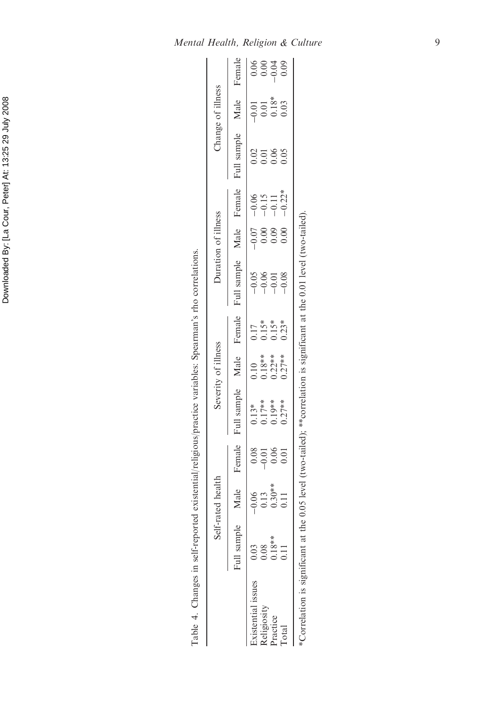| c<br>C<br>C              |  |
|--------------------------|--|
|                          |  |
|                          |  |
|                          |  |
| Peter1 At: 13:25 29 July |  |
| ج<br>-<br>-              |  |
|                          |  |
|                          |  |
| uningded Bur             |  |
| $\frac{5}{5}$<br>ć       |  |

Table 4. Changes in self-reported existential/religious/practice variables: Spearman's rho correlations. Table 4. Changes in self-reported existential/religious/practice variables: Spearman's rho correlations.

|                                         | Self-rated  | health              |        |                                           | Severity of illness                        |                               |                                                                                 | Duration of illness |                                 |                                      | Change of illness                        |              |
|-----------------------------------------|-------------|---------------------|--------|-------------------------------------------|--------------------------------------------|-------------------------------|---------------------------------------------------------------------------------|---------------------|---------------------------------|--------------------------------------|------------------------------------------|--------------|
|                                         | Full sample | Male                | Female | Full sample                               | Male                                       | Female                        | Full sample                                                                     | Male                | Female                          | Full sample                          | Male                                     | Female       |
| ixistential issues                      |             |                     |        |                                           |                                            |                               |                                                                                 |                     |                                 |                                      |                                          |              |
| <b>Religiosity</b>                      | 0.08        | $\frac{0.06}{0.13}$ |        | $0.13**$<br>0.17 **<br>0.19 **<br>0.27 ** | $0.10$<br>$0.18**$<br>$0.22**$<br>$0.27**$ | $0.17$<br>$0.15**$<br>$0.23*$ |                                                                                 |                     | $-0.15$<br>$-0.11$<br>$-0.22$ * | 0<br>0<br>0<br>0<br>0<br>0<br>0<br>0 | $-0.01$<br>$-0.01$<br>$-0.03$<br>$-0.03$ | 8838<br>0000 |
| ractice                                 | $0.18**$    | $30**$              |        |                                           |                                            |                               |                                                                                 |                     |                                 |                                      |                                          |              |
| Total                                   |             | $\overline{1}$      |        |                                           |                                            |                               |                                                                                 |                     |                                 |                                      |                                          |              |
| *Correlation is significant at the 0.05 |             |                     |        |                                           |                                            |                               | level (two-tailed); **correlation is significant at the 0.01 level (two-tailed) |                     |                                 |                                      |                                          |              |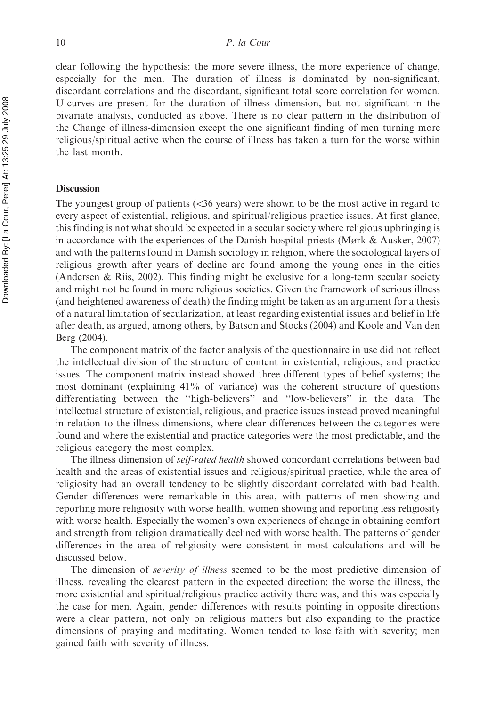clear following the hypothesis: the more severe illness, the more experience of change, especially for the men. The duration of illness is dominated by non-significant, discordant correlations and the discordant, significant total score correlation for women. U-curves are present for the duration of illness dimension, but not significant in the bivariate analysis, conducted as above. There is no clear pattern in the distribution of the Change of illness-dimension except the one significant finding of men turning more religious/spiritual active when the course of illness has taken a turn for the worse within the last month.

#### **Discussion**

The youngest group of patients  $\left( \langle 36 \rangle \right)$  were shown to be the most active in regard to every aspect of existential, religious, and spiritual/religious practice issues. At first glance, this finding is not what should be expected in a secular society where religious upbringing is in accordance with the experiences of the Danish hospital priests (Mørk & Ausker, 2007) and with the patterns found in Danish sociology in religion, where the sociological layers of religious growth after years of decline are found among the young ones in the cities (Andersen & Riis, 2002). This finding might be exclusive for a long-term secular society and might not be found in more religious societies. Given the framework of serious illness (and heightened awareness of death) the finding might be taken as an argument for a thesis of a natural limitation of secularization, at least regarding existential issues and belief in life after death, as argued, among others, by Batson and Stocks (2004) and Koole and Van den Berg (2004).

The component matrix of the factor analysis of the questionnaire in use did not reflect the intellectual division of the structure of content in existential, religious, and practice issues. The component matrix instead showed three different types of belief systems; the most dominant (explaining 41% of variance) was the coherent structure of questions differentiating between the ''high-believers'' and ''low-believers'' in the data. The intellectual structure of existential, religious, and practice issues instead proved meaningful in relation to the illness dimensions, where clear differences between the categories were found and where the existential and practice categories were the most predictable, and the religious category the most complex.

The illness dimension of *self-rated health* showed concordant correlations between bad health and the areas of existential issues and religious/spiritual practice, while the area of religiosity had an overall tendency to be slightly discordant correlated with bad health. Gender differences were remarkable in this area, with patterns of men showing and reporting more religiosity with worse health, women showing and reporting less religiosity with worse health. Especially the women's own experiences of change in obtaining comfort and strength from religion dramatically declined with worse health. The patterns of gender differences in the area of religiosity were consistent in most calculations and will be discussed below.

The dimension of *severity of illness* seemed to be the most predictive dimension of illness, revealing the clearest pattern in the expected direction: the worse the illness, the more existential and spiritual/religious practice activity there was, and this was especially the case for men. Again, gender differences with results pointing in opposite directions were a clear pattern, not only on religious matters but also expanding to the practice dimensions of praying and meditating. Women tended to lose faith with severity; men gained faith with severity of illness.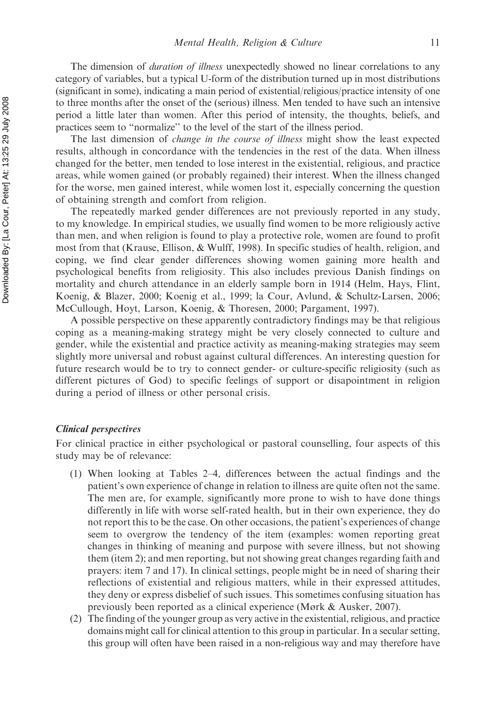The dimension of *duration of illness* unexpectedly showed no linear correlations to any category of variables, but a typical U-form of the distribution turned up in most distributions (significant in some), indicating a main period of existential/religious/practice intensity of one to three months after the onset of the (serious) illness. Men tended to have such an intensive period a little later than women. After this period of intensity, the thoughts, beliefs, and practices seem to ''normalize'' to the level of the start of the illness period.

The last dimension of *change in the course of illness* might show the least expected results, although in concordance with the tendencies in the rest of the data. When illness changed for the better, men tended to lose interest in the existential, religious, and practice areas, while women gained (or probably regained) their interest. When the illness changed for the worse, men gained interest, while women lost it, especially concerning the question of obtaining strength and comfort from religion.

The repeatedly marked gender differences are not previously reported in any study, to my knowledge. In empirical studies, we usually find women to be more religiously active than men, and when religion is found to play a protective role, women are found to profit most from that (Krause, Ellison, & Wulff, 1998). In specific studies of health, religion, and coping, we find clear gender differences showing women gaining more health and psychological benefits from religiosity. This also includes previous Danish findings on mortality and church attendance in an elderly sample born in 1914 (Helm, Hays, Flint, Koenig, & Blazer, 2000; Koenig et al., 1999; la Cour, Avlund, & Schultz-Larsen, 2006; McCullough, Hoyt, Larson, Koenig, & Thoresen, 2000; Pargament, 1997).

A possible perspective on these apparently contradictory findings may be that religious coping as a meaning-making strategy might be very closely connected to culture and gender, while the existential and practice activity as meaning-making strategies may seem slightly more universal and robust against cultural differences. An interesting question for future research would be to try to connect gender- or culture-specific religiosity (such as different pictures of God) to specific feelings of support or disapointment in religion during a period of illness or other personal crisis.

## Clinical perspectives

For clinical practice in either psychological or pastoral counselling, four aspects of this study may be of relevance:

- (1) When looking at Tables 2–4, differences between the actual findings and the patient's own experience of change in relation to illness are quite often not the same. The men are, for example, significantly more prone to wish to have done things differently in life with worse self-rated health, but in their own experience, they do not report this to be the case. On other occasions, the patient's experiences of change seem to overgrow the tendency of the item (examples: women reporting great changes in thinking of meaning and purpose with severe illness, but not showing them (item 2); and men reporting, but not showing great changes regarding faith and prayers: item 7 and 17). In clinical settings, people might be in need of sharing their reflections of existential and religious matters, while in their expressed attitudes, they deny or express disbelief of such issues. This sometimes confusing situation has previously been reported as a clinical experience (Mørk & Ausker, 2007).
- (2) The finding of the younger group as very active in the existential, religious, and practice domains might call for clinical attention to this group in particular. In a secular setting, this group will often have been raised in a non-religious way and may therefore have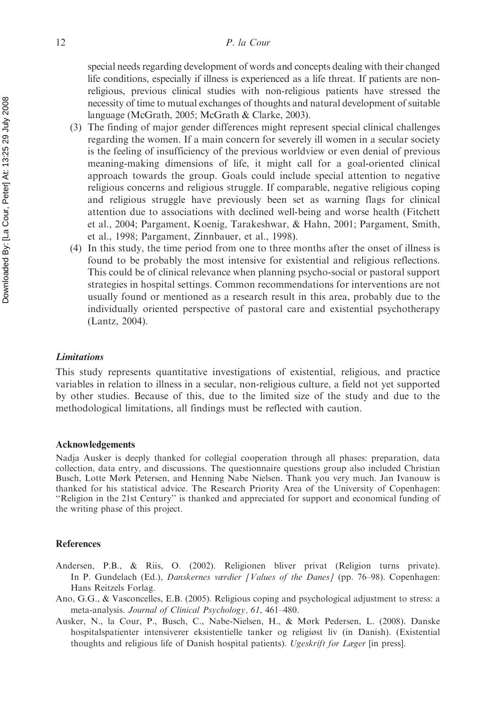special needs regarding development of words and concepts dealing with their changed life conditions, especially if illness is experienced as a life threat. If patients are nonreligious, previous clinical studies with non-religious patients have stressed the necessity of time to mutual exchanges of thoughts and natural development of suitable language (McGrath, 2005; McGrath & Clarke, 2003).

- (3) The finding of major gender differences might represent special clinical challenges regarding the women. If a main concern for severely ill women in a secular society is the feeling of insufficiency of the previous worldview or even denial of previous meaning-making dimensions of life, it might call for a goal-oriented clinical approach towards the group. Goals could include special attention to negative religious concerns and religious struggle. If comparable, negative religious coping and religious struggle have previously been set as warning flags for clinical attention due to associations with declined well-being and worse health (Fitchett et al., 2004; Pargament, Koenig, Tarakeshwar, & Hahn, 2001; Pargament, Smith, et al., 1998; Pargament, Zinnbauer, et al., 1998).
- (4) In this study, the time period from one to three months after the onset of illness is found to be probably the most intensive for existential and religious reflections. This could be of clinical relevance when planning psycho-social or pastoral support strategies in hospital settings. Common recommendations for interventions are not usually found or mentioned as a research result in this area, probably due to the individually oriented perspective of pastoral care and existential psychotherapy (Lantz, 2004).

# Limitations

This study represents quantitative investigations of existential, religious, and practice variables in relation to illness in a secular, non-religious culture, a field not yet supported by other studies. Because of this, due to the limited size of the study and due to the methodological limitations, all findings must be reflected with caution.

#### Acknowledgements

Nadja Ausker is deeply thanked for collegial cooperation through all phases: preparation, data collection, data entry, and discussions. The questionnaire questions group also included Christian Busch, Lotte Mørk Petersen, and Henning Nabe Nielsen. Thank you very much. Jan Ivanouw is thanked for his statistical advice. The Research Priority Area of the University of Copenhagen: ''Religion in the 21st Century'' is thanked and appreciated for support and economical funding of the writing phase of this project.

# References

- Andersen, P.B., & Riis, O. (2002). Religionen bliver privat (Religion turns private). In P. Gundelach (Ed.), *Danskernes værdier [Values of the Danes]* (pp. 76–98). Copenhagen: Hans Reitzels Forlag.
- Ano, G.G., & Vasconcelles, E.B. (2005). Religious coping and psychological adjustment to stress: a meta-analysis. Journal of Clinical Psychology, 61, 461–480.
- Ausker, N., la Cour, P., Busch, C., Nabe-Nielsen, H., & Mørk Pedersen, L. (2008). Danske hospitalspatienter intensiverer eksistentielle tanker og religiøst liv (in Danish). (Existential thoughts and religious life of Danish hospital patients). Ugeskrift for Læger [in press].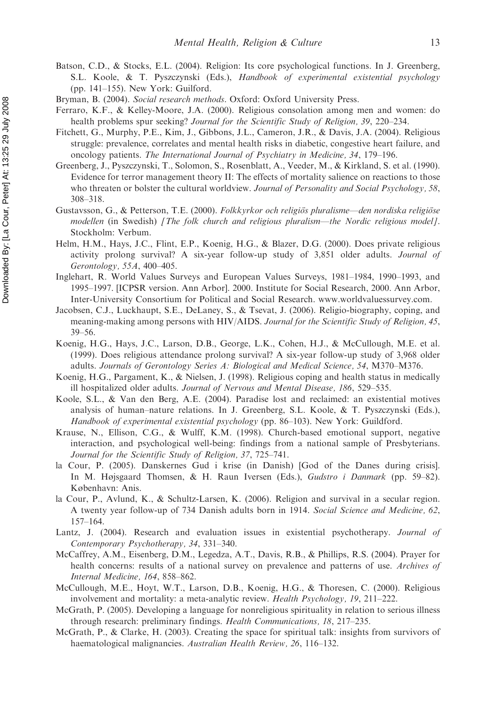- Batson, C.D., & Stocks, E.L. (2004). Religion: Its core psychological functions. In J. Greenberg, S.L. Koole, & T. Pyszczynski (Eds.), Handbook of experimental existential psychology (pp. 141–155). New York: Guilford.
- Bryman, B. (2004). Social research methods. Oxford: Oxford University Press.
- Ferraro, K.F., & Kelley-Moore, J.A. (2000). Religious consolation among men and women: do health problems spur seeking? Journal for the Scientific Study of Religion, 39, 220–234.
- Fitchett, G., Murphy, P.E., Kim, J., Gibbons, J.L., Cameron, J.R., & Davis, J.A. (2004). Religious struggle: prevalence, correlates and mental health risks in diabetic, congestive heart failure, and oncology patients. The International Journal of Psychiatry in Medicine, 34, 179–196.
- Greenberg, J., Pyszczynski, T., Solomon, S., Rosenblatt, A., Veeder, M., & Kirkland, S. et al. (1990). Evidence for terror management theory II: The effects of mortality salience on reactions to those who threaten or bolster the cultural worldview. Journal of Personality and Social Psychology, 58, 308–318.
- Gustavsson, G., & Petterson, T.E. (2000). Folkkyrkor och religiös pluralisme—den nordiska religiöse modellen (in Swedish) [The folk church and religious pluralism—the Nordic religious model]. Stockholm: Verbum.
- Helm, H.M., Hays, J.C., Flint, E.P., Koenig, H.G., & Blazer, D.G. (2000). Does private religious activity prolong survival? A six-year follow-up study of 3,851 older adults. Journal of Gerontology, 55A, 400–405.
- Inglehart, R. World Values Surveys and European Values Surveys, 1981–1984, 1990–1993, and 1995–1997. [ICPSR version. Ann Arbor]. 2000. Institute for Social Research, 2000. Ann Arbor, Inter-University Consortium for Political and Social Research. www.worldvaluessurvey.com.
- Jacobsen, C.J., Luckhaupt, S.E., DeLaney, S., & Tsevat, J. (2006). Religio-biography, coping, and meaning-making among persons with HIV/AIDS. Journal for the Scientific Study of Religion, 45, 39–56.
- Koenig, H.G., Hays, J.C., Larson, D.B., George, L.K., Cohen, H.J., & McCullough, M.E. et al. (1999). Does religious attendance prolong survival? A six-year follow-up study of 3,968 older adults. Journals of Gerontology Series A: Biological and Medical Science, 54, M370–M376.
- Koenig, H.G., Pargament, K., & Nielsen, J. (1998). Religious coping and health status in medically ill hospitalized older adults. Journal of Nervous and Mental Disease, 186, 529–535.
- Koole, S.L., & Van den Berg, A.E. (2004). Paradise lost and reclaimed: an existential motives analysis of human–nature relations. In J. Greenberg, S.L. Koole, & T. Pyszczynski (Eds.), Handbook of experimental existential psychology (pp. 86-103). New York: Guildford.
- Krause, N., Ellison, C.G., & Wulff, K.M. (1998). Church-based emotional support, negative interaction, and psychological well-being: findings from a national sample of Presbyterians. Journal for the Scientific Study of Religion, 37, 725–741.
- la Cour, P. (2005). Danskernes Gud i krise (in Danish) [God of the Danes during crisis]. In M. Højsgaard Thomsen, & H. Raun Iversen (Eds.), Gudstro i Danmark (pp. 59–82). København: Anis.
- la Cour, P., Avlund, K., & Schultz-Larsen, K. (2006). Religion and survival in a secular region. A twenty year follow-up of 734 Danish adults born in 1914. Social Science and Medicine, 62, 157–164.
- Lantz, J. (2004). Research and evaluation issues in existential psychotherapy. Journal of Contemporary Psychotherapy, 34, 331–340.
- McCaffrey, A.M., Eisenberg, D.M., Legedza, A.T., Davis, R.B., & Phillips, R.S. (2004). Prayer for health concerns: results of a national survey on prevalence and patterns of use. Archives of Internal Medicine, 164, 858–862.
- McCullough, M.E., Hoyt, W.T., Larson, D.B., Koenig, H.G., & Thoresen, C. (2000). Religious involvement and mortality: a meta-analytic review. Health Psychology, 19, 211–222.
- McGrath, P. (2005). Developing a language for nonreligious spirituality in relation to serious illness through research: preliminary findings. Health Communications, 18, 217–235.
- McGrath, P., & Clarke, H. (2003). Creating the space for spiritual talk: insights from survivors of haematological malignancies. Australian Health Review, 26, 116–132.